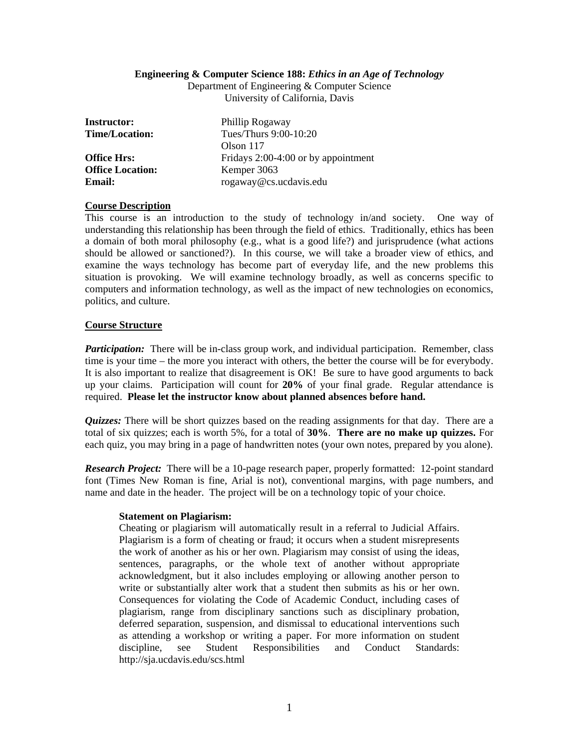### **Engineering & Computer Science 188:** *Ethics in an Age of Technology*

Department of Engineering & Computer Science University of California, Davis

| <b>Instructor:</b>      | Phillip Rogaway                       |
|-------------------------|---------------------------------------|
| <b>Time/Location:</b>   | Tues/Thurs 9:00-10:20                 |
|                         | Olson $117$                           |
| <b>Office Hrs:</b>      | Fridays $2:00-4:00$ or by appointment |
| <b>Office Location:</b> | Kemper 3063                           |
| Email:                  | rogaway@cs.ucdavis.edu                |

## **Course Description**

This course is an introduction to the study of technology in/and society. One way of understanding this relationship has been through the field of ethics. Traditionally, ethics has been a domain of both moral philosophy (e.g., what is a good life?) and jurisprudence (what actions should be allowed or sanctioned?). In this course, we will take a broader view of ethics, and examine the ways technology has become part of everyday life, and the new problems this situation is provoking. We will examine technology broadly, as well as concerns specific to computers and information technology, as well as the impact of new technologies on economics, politics, and culture.

# **Course Structure**

*Participation:* There will be in-class group work, and individual participation. Remember, class time is your time – the more you interact with others, the better the course will be for everybody. It is also important to realize that disagreement is OK! Be sure to have good arguments to back up your claims. Participation will count for **20%** of your final grade. Regular attendance is required. **Please let the instructor know about planned absences before hand.**

*Quizzes:* There will be short quizzes based on the reading assignments for that day. There are a total of six quizzes; each is worth 5%, for a total of **30%**. **There are no make up quizzes.** For each quiz, you may bring in a page of handwritten notes (your own notes, prepared by you alone).

*Research Project:* There will be a 10-page research paper, properly formatted: 12-point standard font (Times New Roman is fine, Arial is not), conventional margins, with page numbers, and name and date in the header. The project will be on a technology topic of your choice.

### **Statement on Plagiarism:**

Cheating or plagiarism will automatically result in a referral to Judicial Affairs. Plagiarism is a form of cheating or fraud; it occurs when a student misrepresents the work of another as his or her own. Plagiarism may consist of using the ideas, sentences, paragraphs, or the whole text of another without appropriate acknowledgment, but it also includes employing or allowing another person to write or substantially alter work that a student then submits as his or her own. Consequences for violating the Code of Academic Conduct, including cases of plagiarism, range from disciplinary sanctions such as disciplinary probation, deferred separation, suspension, and dismissal to educational interventions such as attending a workshop or writing a paper. For more information on student discipline, see Student Responsibilities and Conduct Standards: http://sja.ucdavis.edu/scs.html